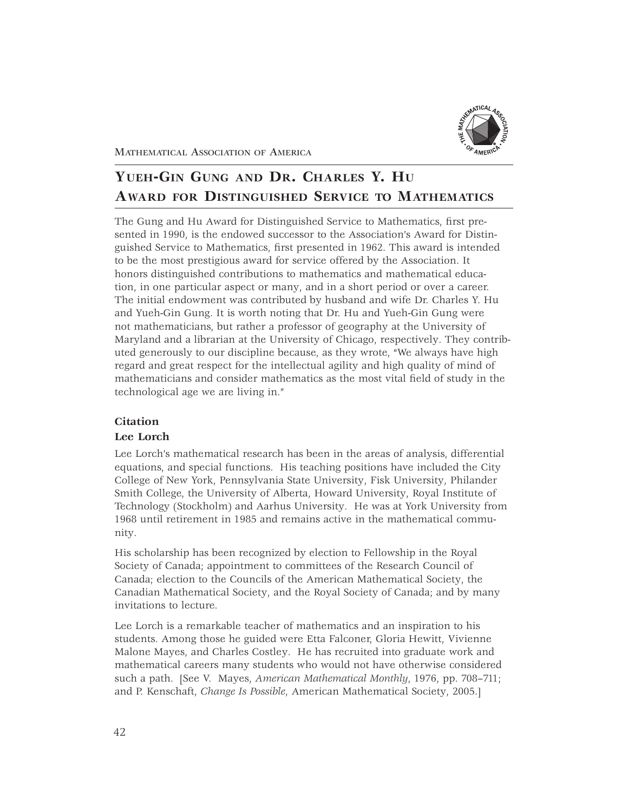

MATHEMATICAL ASSOCIATION OF AMERICA

# **YUEH-GIN GUNG AND DR. CHARLES Y. HU AWARD FOR DISTINGUISHED SERVICE TO MATHEMATICS**

The Gung and Hu Award for Distinguished Service to Mathematics, first presented in 1990, is the endowed successor to the Association's Award for Distinguished Service to Mathematics, first presented in 1962. This award is intended to be the most prestigious award for service offered by the Association. It honors distinguished contributions to mathematics and mathematical education, in one particular aspect or many, and in a short period or over a career. The initial endowment was contributed by husband and wife Dr. Charles Y. Hu and Yueh-Gin Gung. It is worth noting that Dr. Hu and Yueh-Gin Gung were not mathematicians, but rather a professor of geography at the University of Maryland and a librarian at the University of Chicago, respectively. They contributed generously to our discipline because, as they wrote, "We always have high regard and great respect for the intellectual agility and high quality of mind of mathematicians and consider mathematics as the most vital field of study in the technological age we are living in."

## **Citation**

## **Lee Lorch**

Lee Lorch's mathematical research has been in the areas of analysis, differential equations, and special functions. His teaching positions have included the City College of New York, Pennsylvania State University, Fisk University, Philander Smith College, the University of Alberta, Howard University, Royal Institute of Technology (Stockholm) and Aarhus University. He was at York University from 1968 until retirement in 1985 and remains active in the mathematical community.

His scholarship has been recognized by election to Fellowship in the Royal Society of Canada; appointment to committees of the Research Council of Canada; election to the Councils of the American Mathematical Society, the Canadian Mathematical Society, and the Royal Society of Canada; and by many invitations to lecture.

Lee Lorch is a remarkable teacher of mathematics and an inspiration to his students. Among those he guided were Etta Falconer, Gloria Hewitt, Vivienne Malone Mayes, and Charles Costley. He has recruited into graduate work and mathematical careers many students who would not have otherwise considered such a path. [See V. Mayes, *American Mathematical Monthly*, 1976, pp. 708–711; and P. Kenschaft, *Change Is Possible*, American Mathematical Society, 2005.]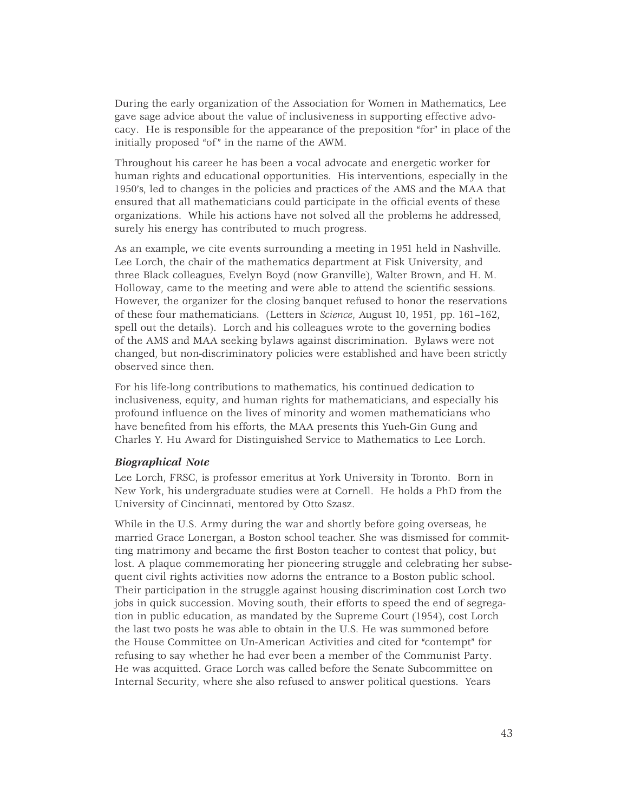During the early organization of the Association for Women in Mathematics, Lee gave sage advice about the value of inclusiveness in supporting effective advocacy. He is responsible for the appearance of the preposition "for" in place of the initially proposed "of" in the name of the AWM.

Throughout his career he has been a vocal advocate and energetic worker for human rights and educational opportunities. His interventions, especially in the 1950's, led to changes in the policies and practices of the AMS and the MAA that ensured that all mathematicians could participate in the official events of these organizations. While his actions have not solved all the problems he addressed, surely his energy has contributed to much progress.

As an example, we cite events surrounding a meeting in 1951 held in Nashville. Lee Lorch, the chair of the mathematics department at Fisk University, and three Black colleagues, Evelyn Boyd (now Granville), Walter Brown, and H. M. Holloway, came to the meeting and were able to attend the scientific sessions. However, the organizer for the closing banquet refused to honor the reservations of these four mathematicians. (Letters in *Science*, August 10, 1951, pp. 161–162, spell out the details). Lorch and his colleagues wrote to the governing bodies of the AMS and MAA seeking bylaws against discrimination. Bylaws were not changed, but non-discriminatory policies were established and have been strictly observed since then.

For his life-long contributions to mathematics, his continued dedication to inclusiveness, equity, and human rights for mathematicians, and especially his profound influence on the lives of minority and women mathematicians who have benefited from his efforts, the MAA presents this Yueh-Gin Gung and Charles Y. Hu Award for Distinguished Service to Mathematics to Lee Lorch.

#### *Biographical Note*

Lee Lorch, FRSC, is professor emeritus at York University in Toronto. Born in New York, his undergraduate studies were at Cornell. He holds a PhD from the University of Cincinnati, mentored by Otto Szasz.

While in the U.S. Army during the war and shortly before going overseas, he married Grace Lonergan, a Boston school teacher. She was dismissed for committing matrimony and became the first Boston teacher to contest that policy, but lost. A plaque commemorating her pioneering struggle and celebrating her subsequent civil rights activities now adorns the entrance to a Boston public school. Their participation in the struggle against housing discrimination cost Lorch two jobs in quick succession. Moving south, their efforts to speed the end of segregation in public education, as mandated by the Supreme Court (1954), cost Lorch the last two posts he was able to obtain in the U.S. He was summoned before the House Committee on Un-American Activities and cited for "contempt" for refusing to say whether he had ever been a member of the Communist Party. He was acquitted. Grace Lorch was called before the Senate Subcommittee on Internal Security, where she also refused to answer political questions. Years